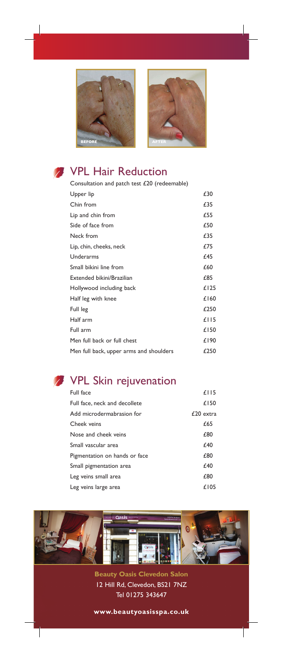



## VPL Hair Reduction

| Consultation and patch test £20 (redeemable) |      |
|----------------------------------------------|------|
| Upper lip                                    | £30  |
| Chin from                                    | £35  |
| Lip and chin from                            | £55  |
| Side of face from                            | £50  |
| Neck from                                    | £35  |
| Lip, chin, cheeks, neck                      | £75  |
| Underarms                                    | £45  |
| Small bikini line from                       | £60  |
| Extended bikini/Brazilian                    | £85  |
| Hollywood including back                     | £125 |
| Half leg with knee                           | £160 |
| Full leg                                     | £250 |
| Half arm                                     | £115 |
| Full arm                                     | £150 |
| Men full back or full chest                  | £190 |
| Men full back, upper arms and shoulders      | £250 |

## VPL Skin rejuvenation

| Full face                     | £115      |
|-------------------------------|-----------|
| Full face, neck and decollete | £150      |
| Add microdermabrasion for     | £20 extra |
| Cheek veins                   | £65       |
| Nose and cheek veins          | £80       |
| Small vascular area           | £40       |
| Pigmentation on hands or face | £80       |
| Small pigmentation area       | £40       |
| Leg veins small area          | £80       |
| Leg veins large area          | £105      |



**Beauty Oasis Clevedon Salon** 12 Hill Rd, Clevedon, BS21 7NZ Tel 01275 343647

**www.beautyoasisspa.co.uk**